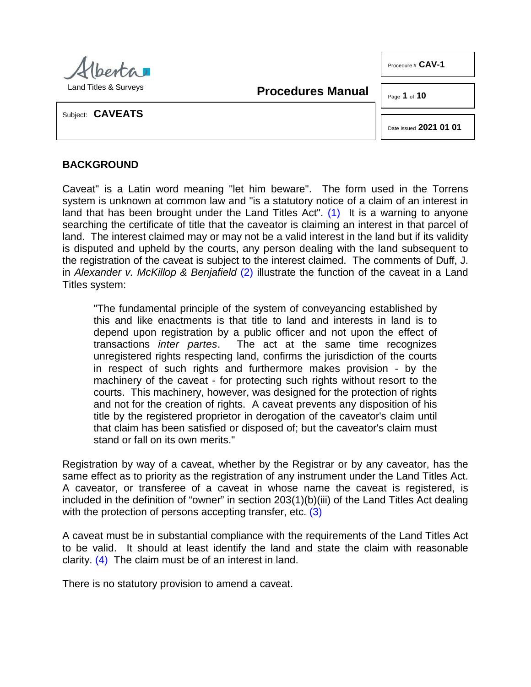| KIDONTI                          |
|----------------------------------|
| <b>Land Titles &amp; Surveys</b> |

**Procedures Manual**

Page **1** of **10**

Procedure # **CAV-1**

Subject: **CAVEATS**

<span id="page-0-0"></span>Date Issued **2021 01 01**

# **BACKGROUND**

Caveat" is a Latin word meaning "let him beware". The form used in the Torrens system is unknown at common law and "is a statutory notice of a claim of an interest in land that has been brought under the Land Titles Act". [\(1\)](#page-8-0) It is a warning to anyone searching the certificate of title that the caveator is claiming an interest in that parcel of land. The interest claimed may or may not be a valid interest in the land but if its validity is disputed and upheld by the courts, any person dealing with the land subsequent to the registration of the caveat is subject to the interest claimed. The comments of Duff, J. in *Alexander v. McKillop & Benjafield* [\(2\)](#page-8-1) illustrate the function of the caveat in a Land Titles system:

<span id="page-0-1"></span>"The fundamental principle of the system of conveyancing established by this and like enactments is that title to land and interests in land is to depend upon registration by a public officer and not upon the effect of transactions *inter partes*. The act at the same time recognizes The act at the same time recognizes. unregistered rights respecting land, confirms the jurisdiction of the courts in respect of such rights and furthermore makes provision - by the machinery of the caveat - for protecting such rights without resort to the courts. This machinery, however, was designed for the protection of rights and not for the creation of rights. A caveat prevents any disposition of his title by the registered proprietor in derogation of the caveator's claim until that claim has been satisfied or disposed of; but the caveator's claim must stand or fall on its own merits."

Registration by way of a caveat, whether by the Registrar or by any caveator, has the same effect as to priority as the registration of any instrument under the Land Titles Act. A caveator, or transferee of a caveat in whose name the caveat is registered, is included in the definition of "owner" in section 203(1)(b)(iii) of the Land Titles Act dealing with the protection of persons accepting transfer, etc. [\(3\)](#page-8-2)

<span id="page-0-3"></span><span id="page-0-2"></span>A caveat must be in substantial compliance with the requirements of the Land Titles Act to be valid. It should at least identify the land and state the claim with reasonable clarity. [\(4\)](#page-8-3) The claim must be of an interest in land.

There is no statutory provision to amend a caveat.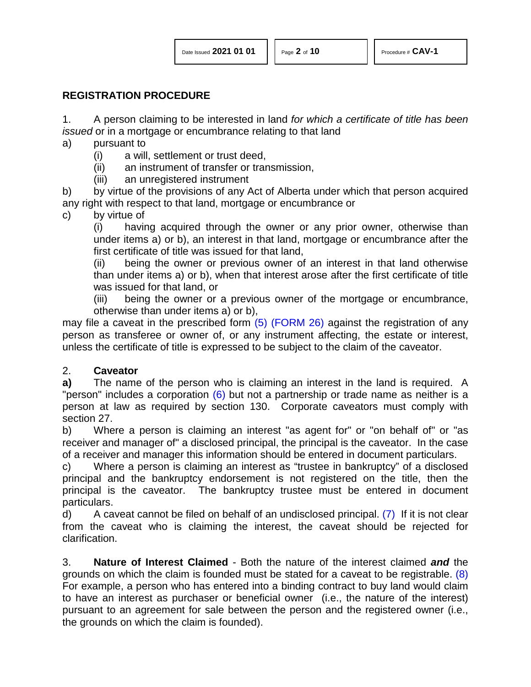### **REGISTRATION PROCEDURE**

1. A person claiming to be interested in land *for which a certificate of title has been issued* or in a mortgage or encumbrance relating to that land

- a) pursuant to
	- (i) a will, settlement or trust deed,
	- (ii) an instrument of transfer or transmission,
	- (iii) an unregistered instrument

b) by virtue of the provisions of any Act of Alberta under which that person acquired any right with respect to that land, mortgage or encumbrance or

c) by virtue of

(i) having acquired through the owner or any prior owner, otherwise than under items a) or b), an interest in that land, mortgage or encumbrance after the first certificate of title was issued for that land,

(ii) being the owner or previous owner of an interest in that land otherwise than under items a) or b), when that interest arose after the first certificate of title was issued for that land, or

<span id="page-1-0"></span>(iii) being the owner or a previous owner of the mortgage or encumbrance, otherwise than under items a) or b),

may file a caveat in the prescribed form [\(5\)](#page-8-4) [\(FORM 26\)](http://www.servicealberta.ca/pdf/ltmanual/FORM26.pdf) against the registration of any person as transferee or owner of, or any instrument affecting, the estate or interest, unless the certificate of title is expressed to be subject to the claim of the caveator.

# 2. **Caveator**

<span id="page-1-1"></span>**a)** The name of the person who is claiming an interest in the land is required. A "person" includes a corporation [\(6\)](#page-8-5) but not a partnership or trade name as neither is a person at law as required by section 130. Corporate caveators must comply with section 27.

b) Where a person is claiming an interest "as agent for" or "on behalf of" or "as receiver and manager of" a disclosed principal, the principal is the caveator. In the case of a receiver and manager this information should be entered in document particulars.

c) Where a person is claiming an interest as "trustee in bankruptcy" of a disclosed principal and the bankruptcy endorsement is not registered on the title, then the principal is the caveator. The bankruptcy trustee must be entered in document particulars.

<span id="page-1-2"></span>d) A caveat cannot be filed on behalf of an undisclosed principal.  $(7)$  If it is not clear from the caveat who is claiming the interest, the caveat should be rejected for clarification.

<span id="page-1-3"></span>3. **Nature of Interest Claimed** - Both the nature of the interest claimed *and* the grounds on which the claim is founded must be stated for a caveat to be registrable. [\(8\)](#page-8-7)  For example, a person who has entered into a binding contract to buy land would claim to have an interest as purchaser or beneficial owner (i.e., the nature of the interest) pursuant to an agreement for sale between the person and the registered owner (i.e., the grounds on which the claim is founded).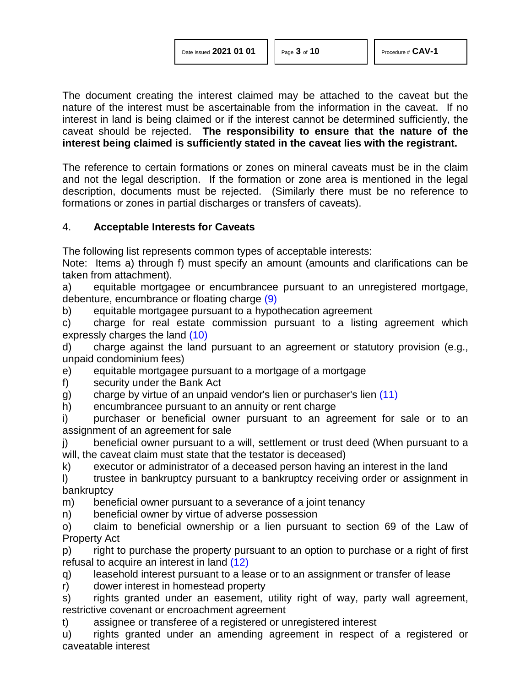The document creating the interest claimed may be attached to the caveat but the nature of the interest must be ascertainable from the information in the caveat. If no interest in land is being claimed or if the interest cannot be determined sufficiently, the caveat should be rejected. **The responsibility to ensure that the nature of the interest being claimed is sufficiently stated in the caveat lies with the registrant.**

The reference to certain formations or zones on mineral caveats must be in the claim and not the legal description. If the formation or zone area is mentioned in the legal description, documents must be rejected. (Similarly there must be no reference to formations or zones in partial discharges or transfers of caveats).

### 4. **Acceptable Interests for Caveats**

The following list represents common types of acceptable interests:

Note: Items a) through f) must specify an amount (amounts and clarifications can be taken from attachment).

<span id="page-2-0"></span>a) equitable mortgagee or encumbrancee pursuant to an unregistered mortgage, debenture, encumbrance or floating charge [\(9\)](#page-8-8)

b) equitable mortgagee pursuant to a hypothecation agreement

<span id="page-2-1"></span>c) charge for real estate commission pursuant to a listing agreement which expressly charges the land [\(10\)](#page-8-9)

d) charge against the land pursuant to an agreement or statutory provision (e.g., unpaid condominium fees)

e) equitable mortgagee pursuant to a mortgage of a mortgage

f) security under the Bank Act

<span id="page-2-2"></span>g) charge by virtue of an unpaid vendor's lien or purchaser's lien [\(11\)](#page-8-10)

h) encumbrancee pursuant to an annuity or rent charge

i) purchaser or beneficial owner pursuant to an agreement for sale or to an assignment of an agreement for sale

j) beneficial owner pursuant to a will, settlement or trust deed (When pursuant to a will, the caveat claim must state that the testator is deceased)

k) executor or administrator of a deceased person having an interest in the land

I) trustee in bankruptcy pursuant to a bankruptcy receiving order or assignment in bankruptcy

m) beneficial owner pursuant to a severance of a joint tenancy

n) beneficial owner by virtue of adverse possession

o) claim to beneficial ownership or a lien pursuant to section 69 of the Law of Property Act

<span id="page-2-3"></span>p) right to purchase the property pursuant to an option to purchase or a right of first refusal to acquire an interest in land [\(12\)](#page-8-11)

q) leasehold interest pursuant to a lease or to an assignment or transfer of lease

r) dower interest in homestead property

s) rights granted under an easement, utility right of way, party wall agreement, restrictive covenant or encroachment agreement

t) assignee or transferee of a registered or unregistered interest

u) rights granted under an amending agreement in respect of a registered or caveatable interest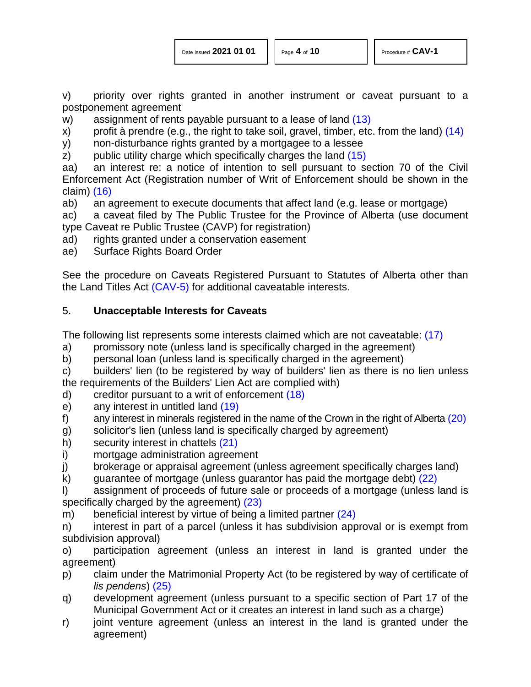<span id="page-3-2"></span><span id="page-3-1"></span><span id="page-3-0"></span>

v) priority over rights granted in another instrument or caveat pursuant to a postponement agreement

w) assignment of rents payable pursuant to a lease of land [\(13\)](#page-8-12)

- x) profit à prendre (e.g., the right to take soil, gravel, timber, etc. from the land)  $(14)$
- y) non-disturbance rights granted by a mortgagee to a lessee

z) public utility charge which specifically charges the land [\(15\)](#page-8-14)

aa) an interest re: a notice of intention to sell pursuant to section 70 of the Civil Enforcement Act (Registration number of Writ of Enforcement should be shown in the claim) [\(16\)](#page-8-15)

<span id="page-3-3"></span>ab) an agreement to execute documents that affect land (e.g. lease or mortgage)

ac) a caveat filed by The Public Trustee for the Province of Alberta (use document type Caveat re Public Trustee (CAVP) for registration)

- ad) rights granted under a conservation easement
- ae) Surface Rights Board Order

See the procedure on Caveats Registered Pursuant to Statutes of Alberta other than the Land Titles Act [\(CAV-5\)](http://www.servicealberta.ca/pdf/ltmanual/CAV-5.pdf) for additional caveatable interests.

# 5. **Unacceptable Interests for Caveats**

<span id="page-3-4"></span>The following list represents some interests claimed which are not caveatable: [\(17\)](#page-8-16)

- a) promissory note (unless land is specifically charged in the agreement)
- b) personal loan (unless land is specifically charged in the agreement)
- c) builders' lien (to be registered by way of builders' lien as there is no lien unless the requirements of the Builders' Lien Act are complied with)
- <span id="page-3-5"></span>d) creditor pursuant to a writ of enforcement [\(18\)](#page-8-17)
- <span id="page-3-6"></span>e) any interest in untitled land [\(19\)](#page-8-18)
- <span id="page-3-7"></span>f) any interest in minerals registered in the name of the Crown in the right of Alberta  $(20)$
- g) solicitor's lien (unless land is specifically charged by agreement)
- <span id="page-3-8"></span>h) security interest in chattels [\(21\)](#page-9-0)
- i) mortgage administration agreement
- j) brokerage or appraisal agreement (unless agreement specifically charges land)
- <span id="page-3-9"></span>k) guarantee of mortgage (unless guarantor has paid the mortgage debt)  $(22)$
- <span id="page-3-10"></span>l) assignment of proceeds of future sale or proceeds of a mortgage (unless land is specifically charged by the agreement) [\(23\)](#page-9-2)
- <span id="page-3-11"></span>m) beneficial interest by virtue of being a limited partner [\(24\)](#page-9-3)

n) interest in part of a parcel (unless it has subdivision approval or is exempt from subdivision approval)

o) participation agreement (unless an interest in land is granted under the agreement)

- <span id="page-3-12"></span>p) claim under the Matrimonial Property Act (to be registered by way of certificate of *lis pendens*) [\(25\)](#page-9-4)
- q) development agreement (unless pursuant to a specific section of Part 17 of the Municipal Government Act or it creates an interest in land such as a charge)
- r) joint venture agreement (unless an interest in the land is granted under the agreement)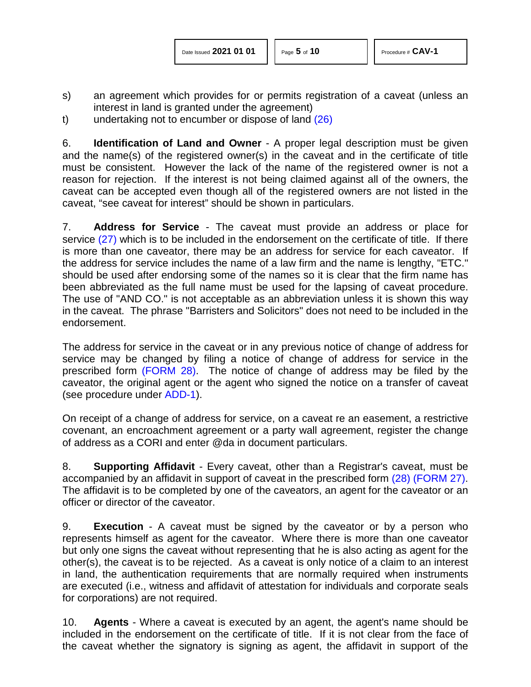- s) an agreement which provides for or permits registration of a caveat (unless an interest in land is granted under the agreement)
- <span id="page-4-0"></span>t) undertaking not to encumber or dispose of land [\(26\)](#page-9-5)

6. **Identification of Land and Owner** - A proper legal description must be given and the name(s) of the registered owner(s) in the caveat and in the certificate of title must be consistent. However the lack of the name of the registered owner is not a reason for rejection. If the interest is not being claimed against all of the owners, the caveat can be accepted even though all of the registered owners are not listed in the caveat, "see caveat for interest" should be shown in particulars.

<span id="page-4-1"></span>7. **Address for Service** - The caveat must provide an address or place for service [\(27\)](#page-9-6) which is to be included in the endorsement on the certificate of title. If there is more than one caveator, there may be an address for service for each caveator. If the address for service includes the name of a law firm and the name is lengthy, "ETC." should be used after endorsing some of the names so it is clear that the firm name has been abbreviated as the full name must be used for the lapsing of caveat procedure. The use of "AND CO." is not acceptable as an abbreviation unless it is shown this way in the caveat. The phrase "Barristers and Solicitors" does not need to be included in the endorsement.

The address for service in the caveat or in any previous notice of change of address for service may be changed by filing a notice of change of address for service in the prescribed form [\(FORM 28\).](http://www.servicealberta.ca/pdf/ltmanual/FORM28.pdf) The notice of change of address may be filed by the caveator, the original agent or the agent who signed the notice on a transfer of caveat (see procedure under [ADD-1\)](http://www.servicealberta.ca/pdf/ltmanual/ADD-1.pdf).

On receipt of a change of address for service, on a caveat re an easement, a restrictive covenant, an encroachment agreement or a party wall agreement, register the change of address as a CORI and enter @da in document particulars.

<span id="page-4-2"></span>8. **Supporting Affidavit** - Every caveat, other than a Registrar's caveat, must be accompanied by an affidavit in support of caveat in the prescribed form [\(28\)](#page-9-7) [\(FORM 27\).](http://www.servicealberta.ca/pdf/ltmanual/FORM27.pdf) The affidavit is to be completed by one of the caveators, an agent for the caveator or an officer or director of the caveator.

9. **Execution** - A caveat must be signed by the caveator or by a person who represents himself as agent for the caveator. Where there is more than one caveator but only one signs the caveat without representing that he is also acting as agent for the other(s), the caveat is to be rejected. As a caveat is only notice of a claim to an interest in land, the authentication requirements that are normally required when instruments are executed (i.e., witness and affidavit of attestation for individuals and corporate seals for corporations) are not required.

10. **Agents** - Where a caveat is executed by an agent, the agent's name should be included in the endorsement on the certificate of title. If it is not clear from the face of the caveat whether the signatory is signing as agent, the affidavit in support of the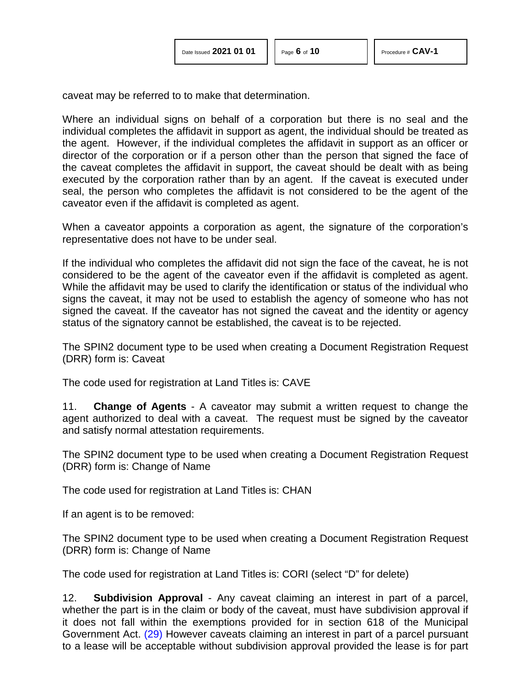caveat may be referred to to make that determination.

Where an individual signs on behalf of a corporation but there is no seal and the individual completes the affidavit in support as agent, the individual should be treated as the agent. However, if the individual completes the affidavit in support as an officer or director of the corporation or if a person other than the person that signed the face of the caveat completes the affidavit in support, the caveat should be dealt with as being executed by the corporation rather than by an agent. If the caveat is executed under seal, the person who completes the affidavit is not considered to be the agent of the caveator even if the affidavit is completed as agent.

When a caveator appoints a corporation as agent, the signature of the corporation's representative does not have to be under seal.

If the individual who completes the affidavit did not sign the face of the caveat, he is not considered to be the agent of the caveator even if the affidavit is completed as agent. While the affidavit may be used to clarify the identification or status of the individual who signs the caveat, it may not be used to establish the agency of someone who has not signed the caveat. If the caveator has not signed the caveat and the identity or agency status of the signatory cannot be established, the caveat is to be rejected.

The SPIN2 document type to be used when creating a Document Registration Request (DRR) form is: Caveat

The code used for registration at Land Titles is: CAVE

11. **Change of Agents** - A caveator may submit a written request to change the agent authorized to deal with a caveat. The request must be signed by the caveator and satisfy normal attestation requirements.

The SPIN2 document type to be used when creating a Document Registration Request (DRR) form is: Change of Name

The code used for registration at Land Titles is: CHAN

If an agent is to be removed:

The SPIN2 document type to be used when creating a Document Registration Request (DRR) form is: Change of Name

The code used for registration at Land Titles is: CORI (select "D" for delete)

<span id="page-5-0"></span>12. **Subdivision Approval** - Any caveat claiming an interest in part of a parcel, whether the part is in the claim or body of the caveat, must have subdivision approval if it does not fall within the exemptions provided for in section 618 of the Municipal Government Act. [\(29\)](#page-9-8) However caveats claiming an interest in part of a parcel pursuant to a lease will be acceptable without subdivision approval provided the lease is for part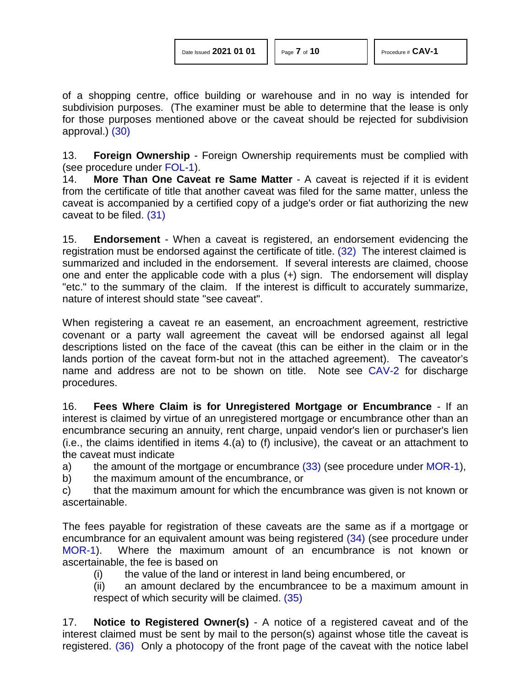of a shopping centre, office building or warehouse and in no way is intended for subdivision purposes. (The examiner must be able to determine that the lease is only for those purposes mentioned above or the caveat should be rejected for subdivision approval.) [\(30\)](#page-9-9)

<span id="page-6-0"></span>13. **Foreign Ownership** - Foreign Ownership requirements must be complied with (see procedure under [FOL-1\)](http://www.servicealberta.ca/pdf/ltmanual/FOL-1.pdf).

14. **More Than One Caveat re Same Matter** - A caveat is rejected if it is evident from the certificate of title that another caveat was filed for the same matter, unless the caveat is accompanied by a certified copy of a judge's order or fiat authorizing the new caveat to be filed. [\(31\)](#page-9-10)

<span id="page-6-2"></span><span id="page-6-1"></span>15. **Endorsement** - When a caveat is registered, an endorsement evidencing the registration must be endorsed against the certificate of title. [\(32\)](#page-9-11) The interest claimed is summarized and included in the endorsement. If several interests are claimed, choose one and enter the applicable code with a plus (+) sign. The endorsement will display "etc." to the summary of the claim. If the interest is difficult to accurately summarize, nature of interest should state "see caveat".

When registering a caveat re an easement, an encroachment agreement, restrictive covenant or a party wall agreement the caveat will be endorsed against all legal descriptions listed on the face of the caveat (this can be either in the claim or in the lands portion of the caveat form-but not in the attached agreement). The caveator's name and address are not to be shown on title. Note see [CAV-2](http://www.servicealberta.ca/pdf/ltmanual/CAV-2.pdf) for discharge procedures.

16. **Fees Where Claim is for Unregistered Mortgage or Encumbrance** - If an interest is claimed by virtue of an unregistered mortgage or encumbrance other than an encumbrance securing an annuity, rent charge, unpaid vendor's lien or purchaser's lien (i.e., the claims identified in items 4.(a) to (f) inclusive), the caveat or an attachment to the caveat must indicate

a) the amount of the mortgage or encumbrance  $(33)$  (see procedure under [MOR-1\)](http://www.servicealberta.ca/pdf/ltmanual/MOR-1.pdf),

b) the maximum amount of the encumbrance, or

c) that the maximum amount for which the encumbrance was given is not known or ascertainable.

The fees payable for registration of these caveats are the same as if a mortgage or encumbrance for an equivalent amount was being registered [\(34\)](#page-9-13) (see procedure under [MOR-1\)](http://www.servicealberta.ca/pdf/ltmanual/MOR-1.pdf). Where the maximum amount of an encumbrance is not known or ascertainable, the fee is based on

<span id="page-6-4"></span><span id="page-6-3"></span>(i) the value of the land or interest in land being encumbered, or

<span id="page-6-5"></span>(ii) an amount declared by the encumbrancee to be a maximum amount in respect of which security will be claimed. [\(35\)](#page-9-14)

<span id="page-6-6"></span>17. **Notice to Registered Owner(s)** - A notice of a registered caveat and of the interest claimed must be sent by mail to the person(s) against whose title the caveat is registered. [\(36\)](#page-9-15) Only a photocopy of the front page of the caveat with the notice label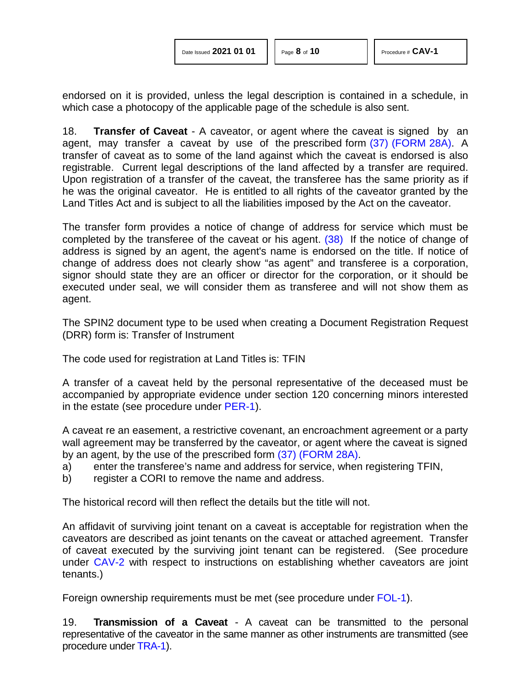endorsed on it is provided, unless the legal description is contained in a schedule, in which case a photocopy of the applicable page of the schedule is also sent.

<span id="page-7-0"></span>18. **Transfer of Caveat** - A caveator, or agent where the caveat is signed by an agent, may transfer a caveat by use of the prescribed form [\(37\)](#page-9-16) [\(FORM 28A\).](http://www.servicealberta.ca/pdf/ltmanual/FORM28A.pdf) A transfer of caveat as to some of the land against which the caveat is endorsed is also registrable. Current legal descriptions of the land affected by a transfer are required. Upon registration of a transfer of the caveat, the transferee has the same priority as if he was the original caveator. He is entitled to all rights of the caveator granted by the Land Titles Act and is subject to all the liabilities imposed by the Act on the caveator.

<span id="page-7-1"></span>The transfer form provides a notice of change of address for service which must be completed by the transferee of the caveat or his agent. [\(38\)](#page-9-17) If the notice of change of address is signed by an agent, the agent's name is endorsed on the title. If notice of change of address does not clearly show "as agent" and transferee is a corporation, signor should state they are an officer or director for the corporation, or it should be executed under seal, we will consider them as transferee and will not show them as agent.

The SPIN2 document type to be used when creating a Document Registration Request (DRR) form is: Transfer of Instrument

The code used for registration at Land Titles is: TFIN

A transfer of a caveat held by the personal representative of the deceased must be accompanied by appropriate evidence under section 120 concerning minors interested in the estate (see procedure under [PER-1\)](http://www.servicealberta.ca/pdf/ltmanual/PER-1.pdf).

A caveat re an easement, a restrictive covenant, an encroachment agreement or a party wall agreement may be transferred by the caveator, or agent where the caveat is signed by an agent, by the use of the prescribed form [\(37\)](#page-9-16) [\(FORM 28A\).](http://www.servicealberta.ca/pdf/ltmanual/FORM28A.pdf)

- a) enter the transferee's name and address for service, when registering TFIN,
- b) register a CORI to remove the name and address.

The historical record will then reflect the details but the title will not.

An affidavit of surviving joint tenant on a caveat is acceptable for registration when the caveators are described as joint tenants on the caveat or attached agreement. Transfer of caveat executed by the surviving joint tenant can be registered. (See procedure under [CAV-2](http://www.servicealberta.ca/pdf/ltmanual/CAV-2.pdf) with respect to instructions on establishing whether caveators are joint tenants.)

Foreign ownership requirements must be met (see procedure under [FOL-1\)](http://www.servicealberta.ca/pdf/ltmanual/FOL-1.pdf).

19. **Transmission of a Caveat** - A caveat can be transmitted to the personal representative of the caveator in the same manner as other instruments are transmitted (see procedure under [TRA-1\)](http://www.servicealberta.ca/pdf/ltmanual/TRA-1.pdf).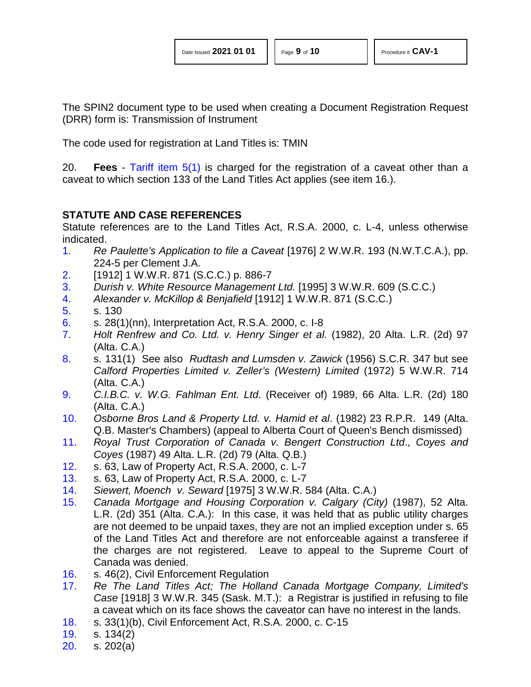The SPIN2 document type to be used when creating a Document Registration Request (DRR) form is: Transmission of Instrument

The code used for registration at Land Titles is: TMIN

20. **Fees** - [Tariff item 5\(1\)](http://www.servicealberta.ca/pdf/ltmanual/APPENDIXI.pdf) is charged for the registration of a caveat other than a caveat to which section 133 of the Land Titles Act applies (see item 16.).

# **STATUTE AND CASE REFERENCES**

Statute references are to the Land Titles Act, R.S.A. 2000, c. L-4, unless otherwise indicated.

- <span id="page-8-0"></span>[1.](#page-0-0) *Re Paulette's Application to file a Caveat* [1976] 2 W.W.R. 193 (N.W.T.C.A.), pp. 224-5 per Clement J.A.
- <span id="page-8-1"></span>[2.](#page-0-1) [1912] 1 W.W.R. 871 (S.C.C.) p. 886-7
- <span id="page-8-2"></span>[3.](#page-0-2) *Durish v. White Resource Management Ltd.* [1995] 3 W.W.R. 609 (S.C.C.)
- <span id="page-8-3"></span>[4.](#page-0-3) *Alexander v. McKillop & Benjafield* [1912] 1 W.W.R. 871 (S.C.C.)
- <span id="page-8-4"></span>[5.](#page-1-0) s. 130
- <span id="page-8-5"></span>[6.](#page-1-1) s. 28(1)(nn), Interpretation Act, R.S.A. 2000, c. I-8
- <span id="page-8-6"></span>[7.](#page-1-2) *Holt Renfrew and Co. Ltd. v. Henry Singer et al.* (1982), 20 Alta. L.R. (2d) 97 (Alta. C.A.)
- <span id="page-8-7"></span>[8.](#page-1-3) s. 131(1) See also *Rudtash and Lumsden v. Zawick* (1956) S.C.R. 347 but see *Calford Properties Limited v. Zeller's (Western) Limited* (1972) 5 W.W.R. 714 (Alta. C.A.)
- <span id="page-8-8"></span>[9.](#page-2-0) *C.I.B.C. v. W.G. Fahlman Ent. Ltd*. (Receiver of) 1989, 66 Alta. L.R. (2d) 180 (Alta. C.A.)
- <span id="page-8-9"></span>[10.](#page-2-1) *Osborne Bros Land & Property Ltd. v. Hamid et al*. (1982) 23 R.P.R. 149 (Alta. Q.B. Master's Chambers) (appeal to Alberta Court of Queen's Bench dismissed)
- <span id="page-8-10"></span>[11.](#page-2-2) *Royal Trust Corporation of Canada v. Bengert Construction Ltd*., *Coyes and Coyes* (1987) 49 Alta. L.R. (2d) 79 (Alta. Q.B.)
- <span id="page-8-11"></span>[12.](#page-2-3) s. 63, Law of Property Act, R.S.A. 2000, c. L-7
- <span id="page-8-12"></span>[13.](#page-3-0) s. 63, Law of Property Act, R.S.A. 2000, c. L-7
- <span id="page-8-13"></span>[14.](#page-3-1) *Siewert, Moench v. Seward* [1975] 3 W.W.R. 584 (Alta. C.A.)
- <span id="page-8-14"></span>[15.](#page-3-2) *Canada Mortgage and Housing Corporation v. Calgary (City)* (1987), 52 Alta. L.R. (2d) 351 (Alta. C.A.): In this case, it was held that as public utility charges are not deemed to be unpaid taxes, they are not an implied exception under s. 65 of the Land Titles Act and therefore are not enforceable against a transferee if the charges are not registered. Leave to appeal to the Supreme Court of Canada was denied.
- <span id="page-8-15"></span>[16.](#page-3-3) s. 46(2), Civil Enforcement Regulation
- <span id="page-8-16"></span>[17.](#page-3-4) *Re The Land Titles Act; The Holland Canada Mortgage Company, Limited's Case* [1918] 3 W.W.R. 345 (Sask. M.T.): a Registrar is justified in refusing to file a caveat which on its face shows the caveator can have no interest in the lands.
- <span id="page-8-17"></span>[18.](#page-3-5) s. 33(1)(b), Civil Enforcement Act, R.S.A. 2000, c. C-15
- <span id="page-8-18"></span>[19.](#page-3-6) s. 134(2)
- <span id="page-8-19"></span>[20.](#page-3-7) s. 202(a)